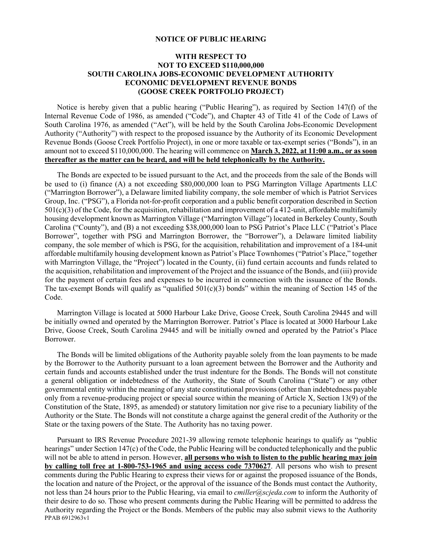## **NOTICE OF PUBLIC HEARING**

## **WITH RESPECT TO NOT TO EXCEED \$110,000,000 SOUTH CAROLINA JOBS-ECONOMIC DEVELOPMENT AUTHORITY ECONOMIC DEVELOPMENT REVENUE BONDS (GOOSE CREEK PORTFOLIO PROJECT)**

Notice is hereby given that a public hearing ("Public Hearing"), as required by Section 147(f) of the Internal Revenue Code of 1986, as amended ("Code"), and Chapter 43 of Title 41 of the Code of Laws of South Carolina 1976, as amended ("Act"), will be held by the South Carolina Jobs-Economic Development Authority ("Authority") with respect to the proposed issuance by the Authority of its Economic Development Revenue Bonds (Goose Creek Portfolio Project), in one or more taxable or tax-exempt series ("Bonds"), in an amount not to exceed \$110,000,000. The hearing will commence on **March 3, 2022, at 11:00 a.m., or as soon thereafter as the matter can be heard, and will be held telephonically by the Authority.**

The Bonds are expected to be issued pursuant to the Act, and the proceeds from the sale of the Bonds will be used to (i) finance (A) a not exceeding \$80,000,000 loan to PSG Marrington Village Apartments LLC ("Marrington Borrower"), a Delaware limited liability company, the sole member of which is Patriot Services Group, Inc. ("PSG"), a Florida not-for-profit corporation and a public benefit corporation described in Section  $501(c)(3)$  of the Code, for the acquisition, rehabilitation and improvement of a 412-unit, affordable multifamily housing development known as Marrington Village ("Marrington Village") located in Berkeley County, South Carolina ("County"), and (B) a not exceeding \$38,000,000 loan to PSG Patriot's Place LLC ("Patriot's Place Borrower", together with PSG and Marrington Borrower, the "Borrower"), a Delaware limited liability company, the sole member of which is PSG, for the acquisition, rehabilitation and improvement of a 184-unit affordable multifamily housing development known as Patriot's Place Townhomes ("Patriot's Place," together with Marrington Village, the "Project") located in the County, (ii) fund certain accounts and funds related to the acquisition, rehabilitation and improvement of the Project and the issuance of the Bonds, and (iii) provide for the payment of certain fees and expenses to be incurred in connection with the issuance of the Bonds. The tax-exempt Bonds will qualify as "qualified  $501(c)(3)$  bonds" within the meaning of Section 145 of the Code.

Marrington Village is located at 5000 Harbour Lake Drive, Goose Creek, South Carolina 29445 and will be initially owned and operated by the Marrington Borrower. Patriot's Place is located at 3000 Harbour Lake Drive, Goose Creek, South Carolina 29445 and will be initially owned and operated by the Patriot's Place Borrower.

The Bonds will be limited obligations of the Authority payable solely from the loan payments to be made by the Borrower to the Authority pursuant to a loan agreement between the Borrower and the Authority and certain funds and accounts established under the trust indenture for the Bonds. The Bonds will not constitute a general obligation or indebtedness of the Authority, the State of South Carolina ("State") or any other governmental entity within the meaning of any state constitutional provisions (other than indebtedness payable only from a revenue-producing project or special source within the meaning of Article X, Section 13(9) of the Constitution of the State, 1895, as amended) or statutory limitation nor give rise to a pecuniary liability of the Authority or the State. The Bonds will not constitute a charge against the general credit of the Authority or the State or the taxing powers of the State. The Authority has no taxing power.

PPAB 6912963v1 Pursuant to IRS Revenue Procedure 2021-39 allowing remote telephonic hearings to qualify as "public hearings" under Section 147(c) of the Code, the Public Hearing will be conducted telephonically and the public will not be able to attend in person. However, **all persons who wish to listen to the public hearing may join by calling toll free at 1-800-753-1965 and using access code 7370627**. All persons who wish to present comments during the Public Hearing to express their views for or against the proposed issuance of the Bonds, the location and nature of the Project, or the approval of the issuance of the Bonds must contact the Authority, not less than 24 hours prior to the Public Hearing, via email to *cmiller@scjeda.com* to inform the Authority of their desire to do so. Those who present comments during the Public Hearing will be permitted to address the Authority regarding the Project or the Bonds. Members of the public may also submit views to the Authority